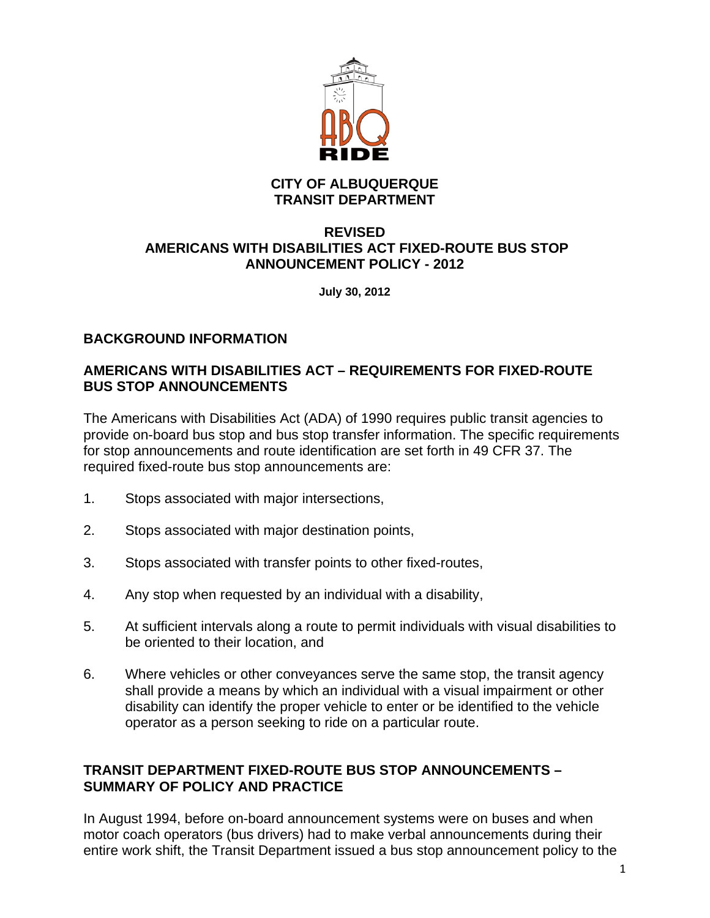

# **CITY OF ALBUQUERQUE TRANSIT DEPARTMENT**

### **REVISED AMERICANS WITH DISABILITIES ACT FIXED-ROUTE BUS STOP ANNOUNCEMENT POLICY - 2012**

**July 30, 2012** 

# **BACKGROUND INFORMATION**

### **AMERICANS WITH DISABILITIES ACT – REQUIREMENTS FOR FIXED-ROUTE BUS STOP ANNOUNCEMENTS**

The Americans with Disabilities Act (ADA) of 1990 requires public transit agencies to provide on-board bus stop and bus stop transfer information. The specific requirements for stop announcements and route identification are set forth in 49 CFR 37. The required fixed-route bus stop announcements are:

- 1. Stops associated with major intersections,
- 2. Stops associated with major destination points,
- 3. Stops associated with transfer points to other fixed-routes,
- 4. Any stop when requested by an individual with a disability,
- 5. At sufficient intervals along a route to permit individuals with visual disabilities to be oriented to their location, and
- 6. Where vehicles or other conveyances serve the same stop, the transit agency shall provide a means by which an individual with a visual impairment or other disability can identify the proper vehicle to enter or be identified to the vehicle operator as a person seeking to ride on a particular route.

# **TRANSIT DEPARTMENT FIXED-ROUTE BUS STOP ANNOUNCEMENTS – SUMMARY OF POLICY AND PRACTICE**

 In August 1994, before on-board announcement systems were on buses and when motor coach operators (bus drivers) had to make verbal announcements during their entire work shift, the Transit Department issued a bus stop announcement policy to the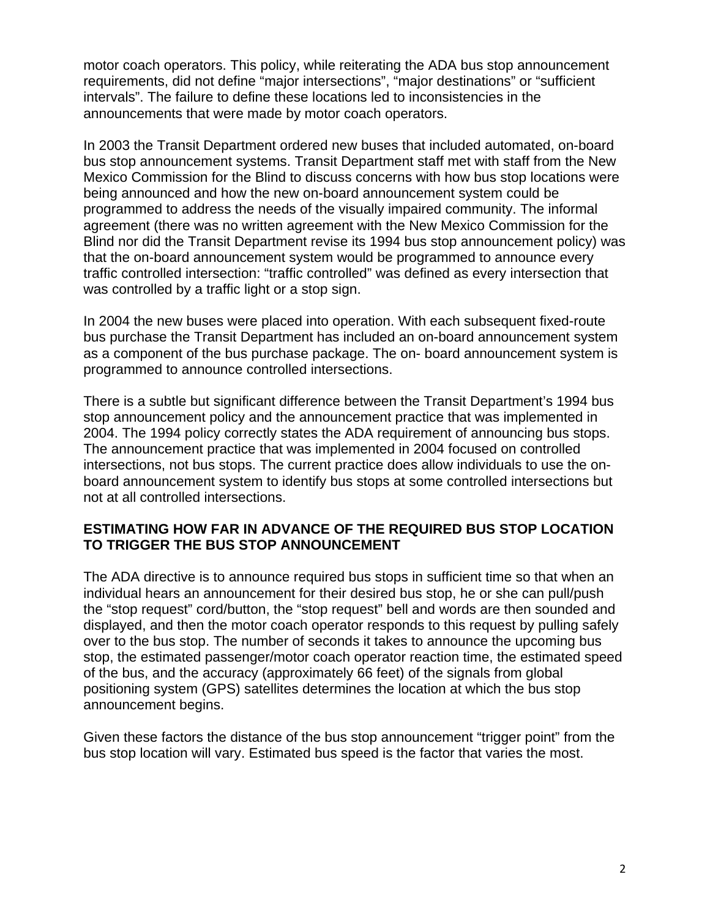motor coach operators. This policy, while reiterating the ADA bus stop announcement requirements, did not define "major intersections", "major destinations" or "sufficient intervals". The failure to define these locations led to inconsistencies in the announcements that were made by motor coach operators.

 In 2003 the Transit Department ordered new buses that included automated, on-board bus stop announcement systems. Transit Department staff met with staff from the New Mexico Commission for the Blind to discuss concerns with how bus stop locations were being announced and how the new on-board announcement system could be programmed to address the needs of the visually impaired community. The informal agreement (there was no written agreement with the New Mexico Commission for the Blind nor did the Transit Department revise its 1994 bus stop announcement policy) was that the on-board announcement system would be programmed to announce every traffic controlled intersection: "traffic controlled" was defined as every intersection that was controlled by a traffic light or a stop sign.

In 2004 the new buses were placed into operation. With each subsequent fixed-route bus purchase the Transit Department has included an on-board announcement system as a component of the bus purchase package. The on- board announcement system is programmed to announce controlled intersections.

There is a subtle but significant difference between the Transit Department's 1994 bus stop announcement policy and the announcement practice that was implemented in 2004. The 1994 policy correctly states the ADA requirement of announcing bus stops. The announcement practice that was implemented in 2004 focused on controlled intersections, not bus stops. The current practice does allow individuals to use the onboard announcement system to identify bus stops at some controlled intersections but not at all controlled intersections.

### **ESTIMATING HOW FAR IN ADVANCE OF THE REQUIRED BUS STOP LOCATION TO TRIGGER THE BUS STOP ANNOUNCEMENT**

The ADA directive is to announce required bus stops in sufficient time so that when an individual hears an announcement for their desired bus stop, he or she can pull/push the "stop request" cord/button, the "stop request" bell and words are then sounded and displayed, and then the motor coach operator responds to this request by pulling safely over to the bus stop. The number of seconds it takes to announce the upcoming bus stop, the estimated passenger/motor coach operator reaction time, the estimated speed of the bus, and the accuracy (approximately 66 feet) of the signals from global positioning system (GPS) satellites determines the location at which the bus stop announcement begins.

Given these factors the distance of the bus stop announcement "trigger point" from the bus stop location will vary. Estimated bus speed is the factor that varies the most.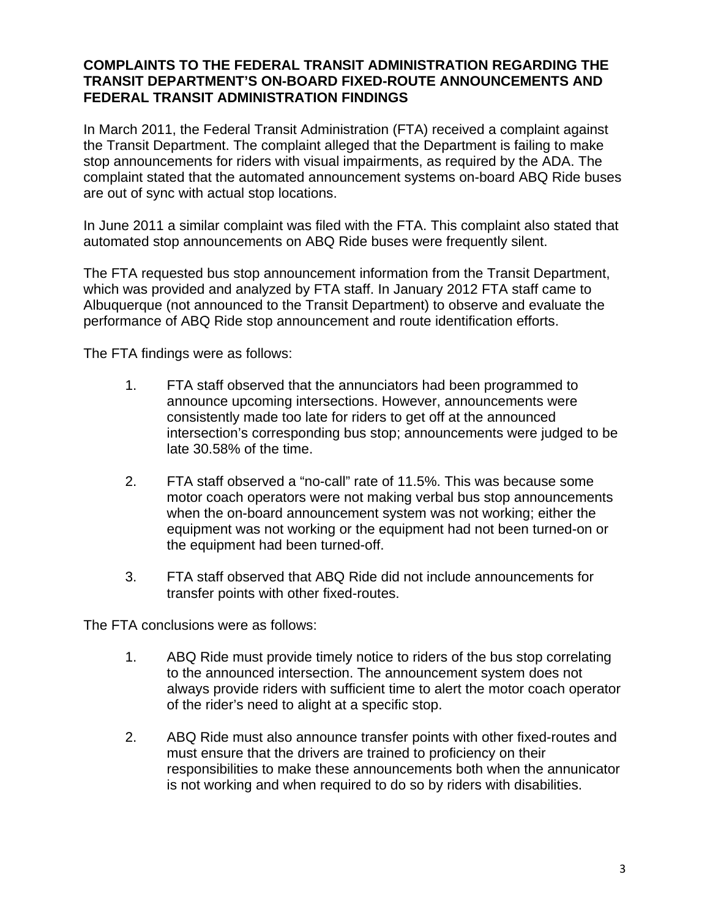### **COMPLAINTS TO THE FEDERAL TRANSIT ADMINISTRATION REGARDING THE TRANSIT DEPARTMENT'S ON-BOARD FIXED-ROUTE ANNOUNCEMENTS AND FEDERAL TRANSIT ADMINISTRATION FINDINGS**

In March 2011, the Federal Transit Administration (FTA) received a complaint against the Transit Department. The complaint alleged that the Department is failing to make stop announcements for riders with visual impairments, as required by the ADA. The complaint stated that the automated announcement systems on-board ABQ Ride buses are out of sync with actual stop locations.

In June 2011 a similar complaint was filed with the FTA. This complaint also stated that automated stop announcements on ABQ Ride buses were frequently silent.

The FTA requested bus stop announcement information from the Transit Department, which was provided and analyzed by FTA staff. In January 2012 FTA staff came to Albuquerque (not announced to the Transit Department) to observe and evaluate the performance of ABQ Ride stop announcement and route identification efforts.

The FTA findings were as follows:

- 1. FTA staff observed that the annunciators had been programmed to announce upcoming intersections. However, announcements were consistently made too late for riders to get off at the announced intersection's corresponding bus stop; announcements were judged to be late 30.58% of the time.
- 2. FTA staff observed a "no-call" rate of 11.5%. This was because some motor coach operators were not making verbal bus stop announcements when the on-board announcement system was not working; either the equipment was not working or the equipment had not been turned-on or the equipment had been turned-off.
- 3. FTA staff observed that ABQ Ride did not include announcements for transfer points with other fixed-routes.

The FTA conclusions were as follows:

- 1. ABQ Ride must provide timely notice to riders of the bus stop correlating to the announced intersection. The announcement system does not always provide riders with sufficient time to alert the motor coach operator of the rider's need to alight at a specific stop.
- 2. ABQ Ride must also announce transfer points with other fixed-routes and must ensure that the drivers are trained to proficiency on their responsibilities to make these announcements both when the annunicator is not working and when required to do so by riders with disabilities.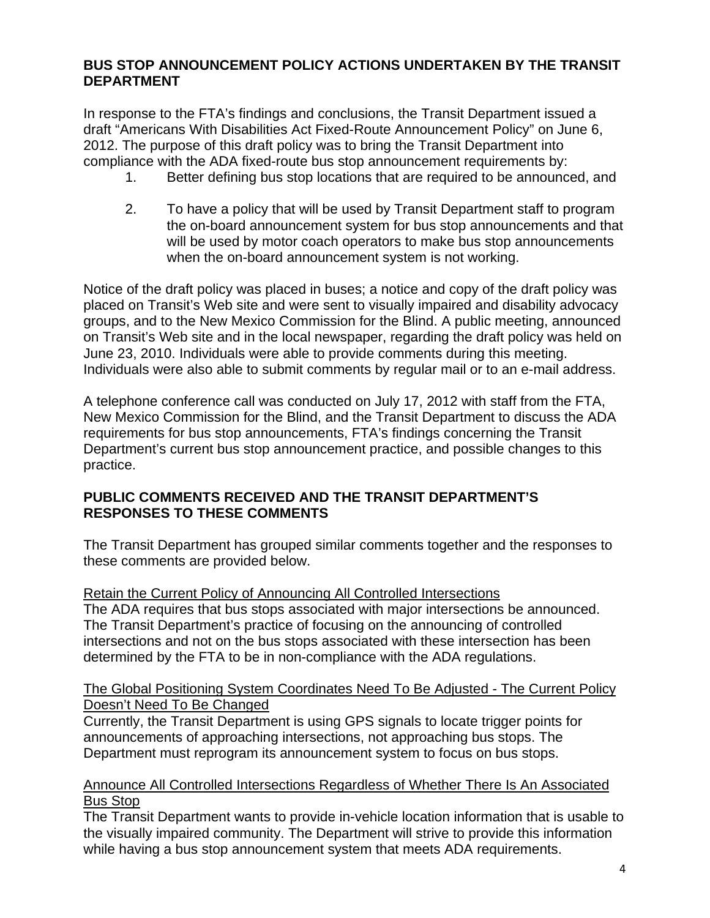### **BUS STOP ANNOUNCEMENT POLICY ACTIONS UNDERTAKEN BY THE TRANSIT DEPARTMENT**

In response to the FTA's findings and conclusions, the Transit Department issued a draft "Americans With Disabilities Act Fixed-Route Announcement Policy" on June 6, 2012. The purpose of this draft policy was to bring the Transit Department into compliance with the ADA fixed-route bus stop announcement requirements by:

- 1. Better defining bus stop locations that are required to be announced, and
- 2. To have a policy that will be used by Transit Department staff to program the on-board announcement system for bus stop announcements and that will be used by motor coach operators to make bus stop announcements when the on-board announcement system is not working.

Notice of the draft policy was placed in buses; a notice and copy of the draft policy was placed on Transit's Web site and were sent to visually impaired and disability advocacy groups, and to the New Mexico Commission for the Blind. A public meeting, announced on Transit's Web site and in the local newspaper, regarding the draft policy was held on June 23, 2010. Individuals were able to provide comments during this meeting. Individuals were also able to submit comments by regular mail or to an e-mail address.

A telephone conference call was conducted on July 17, 2012 with staff from the FTA, New Mexico Commission for the Blind, and the Transit Department to discuss the ADA requirements for bus stop announcements, FTA's findings concerning the Transit Department's current bus stop announcement practice, and possible changes to this practice.

### **PUBLIC COMMENTS RECEIVED AND THE TRANSIT DEPARTMENT'S RESPONSES TO THESE COMMENTS**

The Transit Department has grouped similar comments together and the responses to these comments are provided below.

Retain the Current Policy of Announcing All Controlled Intersections The ADA requires that bus stops associated with major intersections be announced. The Transit Department's practice of focusing on the announcing of controlled intersections and not on the bus stops associated with these intersection has been determined by the FTA to be in non-compliance with the ADA regulations.

### The Global Positioning System Coordinates Need To Be Adjusted - The Current Policy Doesn't Need To Be Changed

Currently, the Transit Department is using GPS signals to locate trigger points for announcements of approaching intersections, not approaching bus stops. The Department must reprogram its announcement system to focus on bus stops.

#### Announce All Controlled Intersections Regardless of Whether There Is An Associated Bus Stop

The Transit Department wants to provide in-vehicle location information that is usable to the visually impaired community. The Department will strive to provide this information while having a bus stop announcement system that meets ADA requirements.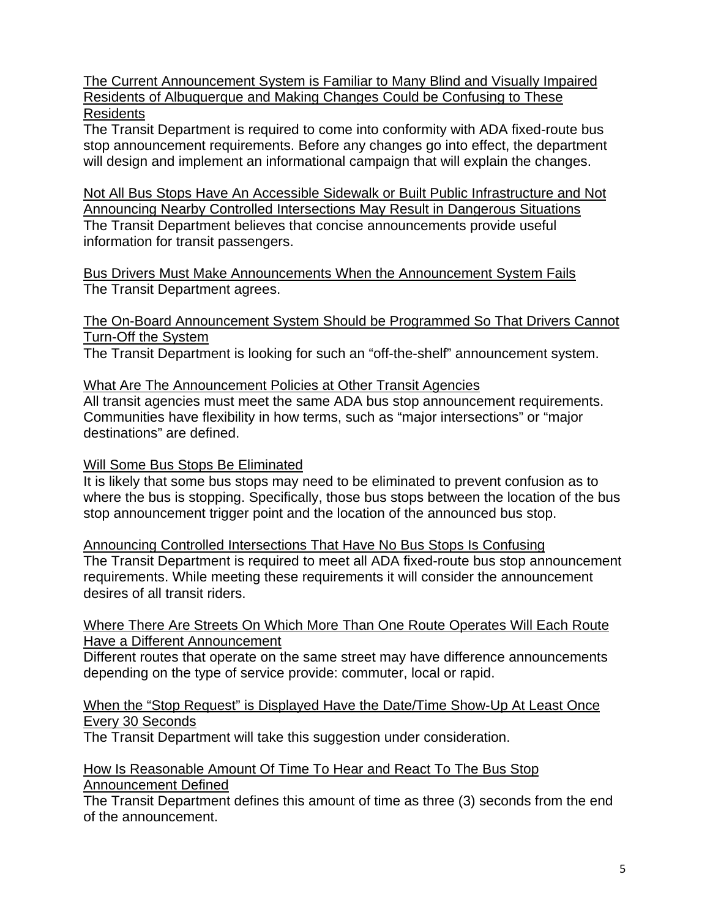The Current Announcement System is Familiar to Many Blind and Visually Impaired Residents of Albuquerque and Making Changes Could be Confusing to These Residents

The Transit Department is required to come into conformity with ADA fixed-route bus stop announcement requirements. Before any changes go into effect, the department will design and implement an informational campaign that will explain the changes.

Not All Bus Stops Have An Accessible Sidewalk or Built Public Infrastructure and Not Announcing Nearby Controlled Intersections May Result in Dangerous Situations The Transit Department believes that concise announcements provide useful information for transit passengers.

Bus Drivers Must Make Announcements When the Announcement System Fails The Transit Department agrees.

The On-Board Announcement System Should be Programmed So That Drivers Cannot Turn-Off the System

The Transit Department is looking for such an "off-the-shelf" announcement system.

#### What Are The Announcement Policies at Other Transit Agencies

All transit agencies must meet the same ADA bus stop announcement requirements. Communities have flexibility in how terms, such as "major intersections" or "major destinations" are defined.

### Will Some Bus Stops Be Eliminated

It is likely that some bus stops may need to be eliminated to prevent confusion as to where the bus is stopping. Specifically, those bus stops between the location of the bus stop announcement trigger point and the location of the announced bus stop.

Announcing Controlled Intersections That Have No Bus Stops Is Confusing The Transit Department is required to meet all ADA fixed-route bus stop announcement requirements. While meeting these requirements it will consider the announcement desires of all transit riders.

#### Where There Are Streets On Which More Than One Route Operates Will Each Route Have a Different Announcement

Different routes that operate on the same street may have difference announcements depending on the type of service provide: commuter, local or rapid.

#### When the "Stop Request" is Displayed Have the Date/Time Show-Up At Least Once Every 30 Seconds

The Transit Department will take this suggestion under consideration.

#### How Is Reasonable Amount Of Time To Hear and React To The Bus Stop Announcement Defined

The Transit Department defines this amount of time as three (3) seconds from the end of the announcement.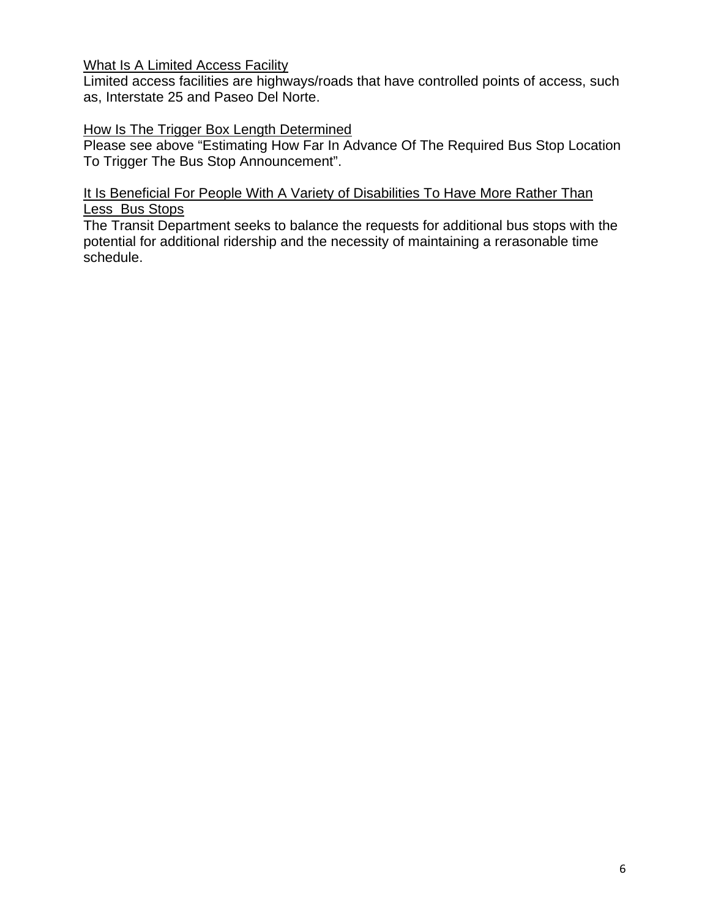#### What Is A Limited Access Facility

Limited access facilities are highways/roads that have controlled points of access, such as, Interstate 25 and Paseo Del Norte.

#### How Is The Trigger Box Length Determined

Please see above "Estimating How Far In Advance Of The Required Bus Stop Location To Trigger The Bus Stop Announcement".

### It Is Beneficial For People With A Variety of Disabilities To Have More Rather Than Less Bus Stops

The Transit Department seeks to balance the requests for additional bus stops with the potential for additional ridership and the necessity of maintaining a rerasonable time schedule.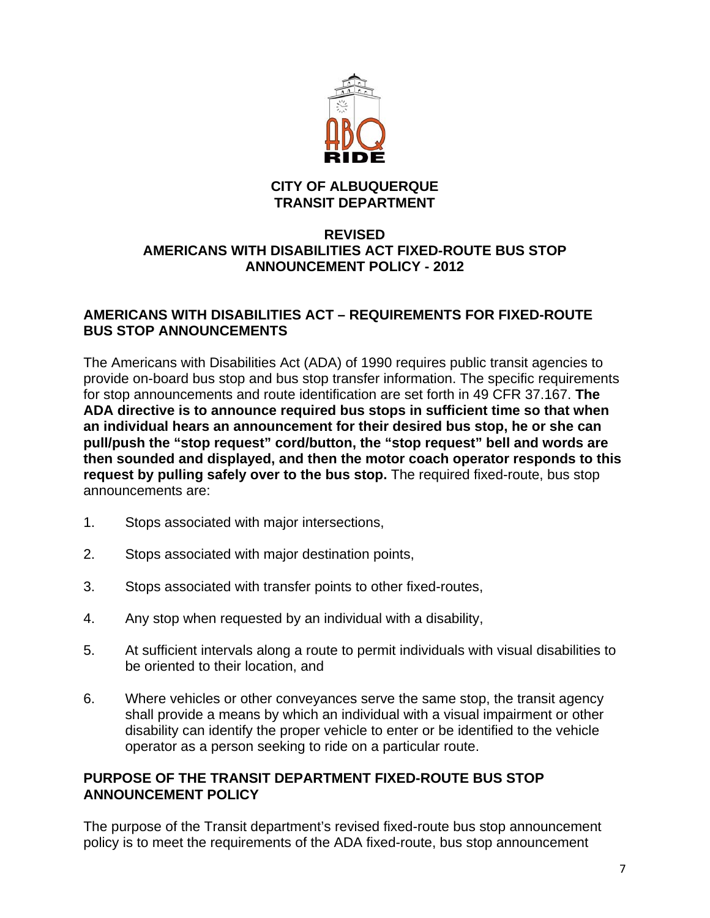

# **CITY OF ALBUQUERQUE TRANSIT DEPARTMENT**

# **REVISED AMERICANS WITH DISABILITIES ACT FIXED-ROUTE BUS STOP ANNOUNCEMENT POLICY - 2012**

### **AMERICANS WITH DISABILITIES ACT – REQUIREMENTS FOR FIXED-ROUTE BUS STOP ANNOUNCEMENTS**

The Americans with Disabilities Act (ADA) of 1990 requires public transit agencies to provide on-board bus stop and bus stop transfer information. The specific requirements for stop announcements and route identification are set forth in 49 CFR 37.167. **The ADA directive is to announce required bus stops in sufficient time so that when an individual hears an announcement for their desired bus stop, he or she can pull/push the "stop request" cord/button, the "stop request" bell and words are then sounded and displayed, and then the motor coach operator responds to this request by pulling safely over to the bus stop.** The required fixed-route, bus stop announcements are:

- 1. Stops associated with major intersections,
- 2. Stops associated with major destination points,
- 3. Stops associated with transfer points to other fixed-routes,
- 4. Any stop when requested by an individual with a disability,
- 5. At sufficient intervals along a route to permit individuals with visual disabilities to be oriented to their location, and
- 6. Where vehicles or other conveyances serve the same stop, the transit agency shall provide a means by which an individual with a visual impairment or other disability can identify the proper vehicle to enter or be identified to the vehicle operator as a person seeking to ride on a particular route.

### **PURPOSE OF THE TRANSIT DEPARTMENT FIXED-ROUTE BUS STOP ANNOUNCEMENT POLICY**

The purpose of the Transit department's revised fixed-route bus stop announcement policy is to meet the requirements of the ADA fixed-route, bus stop announcement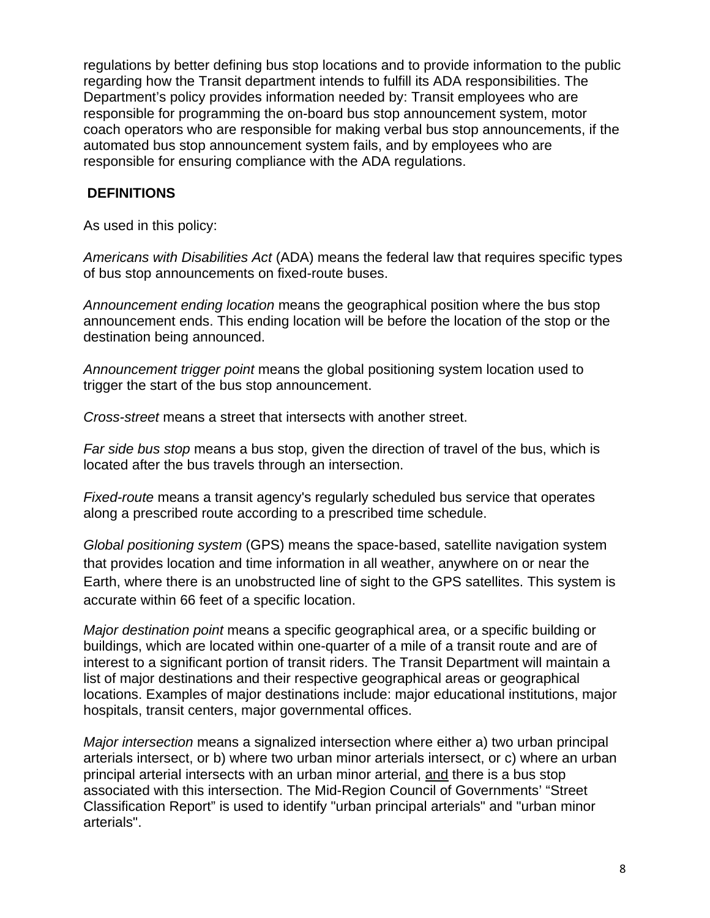regulations by better defining bus stop locations and to provide information to the public regarding how the Transit department intends to fulfill its ADA responsibilities. The Department's policy provides information needed by: Transit employees who are responsible for programming the on-board bus stop announcement system, motor coach operators who are responsible for making verbal bus stop announcements, if the automated bus stop announcement system fails, and by employees who are responsible for ensuring compliance with the ADA regulations.

### **DEFINITIONS**

As used in this policy:

*Americans with Disabilities Act* (ADA) means the federal law that requires specific types of bus stop announcements on fixed-route buses.

*Announcement ending location* means the geographical position where the bus stop announcement ends. This ending location will be before the location of the stop or the destination being announced.

*Announcement trigger point* means the global positioning system location used to trigger the start of the bus stop announcement.

*Cross-street* means a street that intersects with another street.

*Far side bus stop* means a bus stop, given the direction of travel of the bus, which is located after the bus travels through an intersection.

*Fixed-route* means a transit agency's regularly scheduled bus service that operates along a prescribed route according to a prescribed time schedule.

*Global positioning system* (GPS) means the space-based, satellite navigation system that provides location and time information in all weather, anywhere on or near the Earth, where there is an unobstructed line of sight to the GPS satellites. This system is accurate within 66 feet of a specific location.

*Major destination point* means a specific geographical area, or a specific building or buildings, which are located within one-quarter of a mile of a transit route and are of interest to a significant portion of transit riders. The Transit Department will maintain a list of major destinations and their respective geographical areas or geographical locations. Examples of major destinations include: major educational institutions, major hospitals, transit centers, major governmental offices.

*Major intersection* means a signalized intersection where either a) two urban principal arterials intersect, or b) where two urban minor arterials intersect, or c) where an urban principal arterial intersects with an urban minor arterial, and there is a bus stop associated with this intersection. The Mid-Region Council of Governments' "Street Classification Report" is used to identify "urban principal arterials" and "urban minor arterials".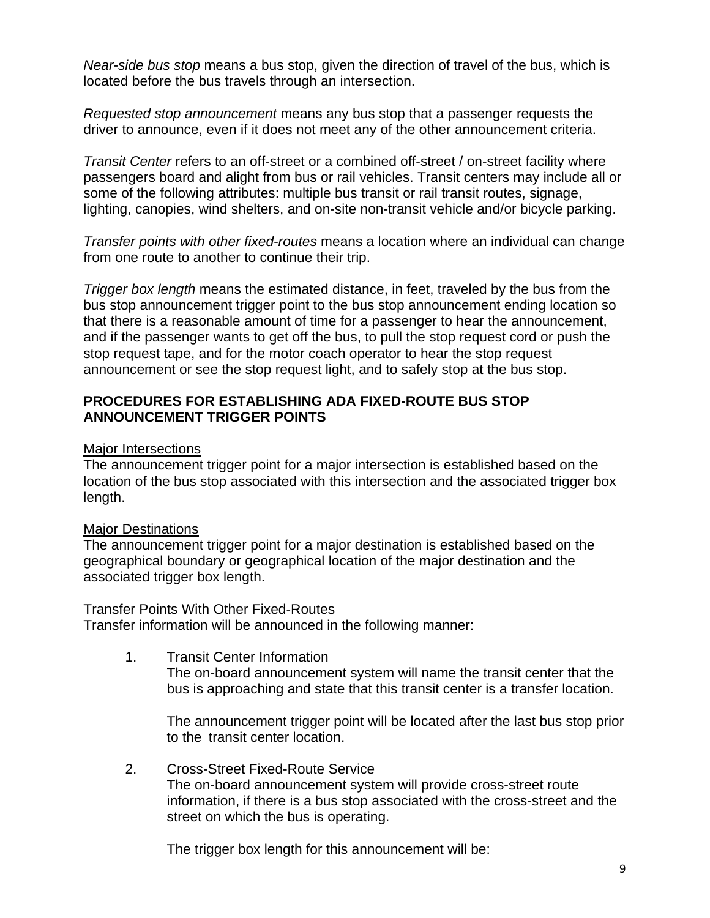*Near-side bus stop* means a bus stop, given the direction of travel of the bus, which is located before the bus travels through an intersection.

*Requested stop announcement* means any bus stop that a passenger requests the driver to announce, even if it does not meet any of the other announcement criteria.

*Transit Center* refers to an off-street or a combined off-street / on-street facility where passengers board and alight from bus or rail vehicles. Transit centers may include all or some of the following attributes: multiple bus transit or rail transit routes, signage, lighting, canopies, wind shelters, and on-site non-transit vehicle and/or bicycle parking.

*Transfer points with other fixed-routes* means a location where an individual can change from one route to another to continue their trip.

*Trigger box length* means the estimated distance, in feet, traveled by the bus from the bus stop announcement trigger point to the bus stop announcement ending location so that there is a reasonable amount of time for a passenger to hear the announcement, and if the passenger wants to get off the bus, to pull the stop request cord or push the stop request tape, and for the motor coach operator to hear the stop request announcement or see the stop request light, and to safely stop at the bus stop.

### **PROCEDURES FOR ESTABLISHING ADA FIXED-ROUTE BUS STOP ANNOUNCEMENT TRIGGER POINTS**

#### Major Intersections

The announcement trigger point for a major intersection is established based on the location of the bus stop associated with this intersection and the associated trigger box length.

#### Major Destinations

The announcement trigger point for a major destination is established based on the geographical boundary or geographical location of the major destination and the associated trigger box length.

#### Transfer Points With Other Fixed-Routes

Transfer information will be announced in the following manner:

1. Transit Center Information

The on-board announcement system will name the transit center that the bus is approaching and state that this transit center is a transfer location.

 The announcement trigger point will be located after the last bus stop prior to the transit center location.

 2. Cross-Street Fixed-Route Service The on-board announcement system will provide cross-street route information, if there is a bus stop associated with the cross-street and the street on which the bus is operating.

The trigger box length for this announcement will be: